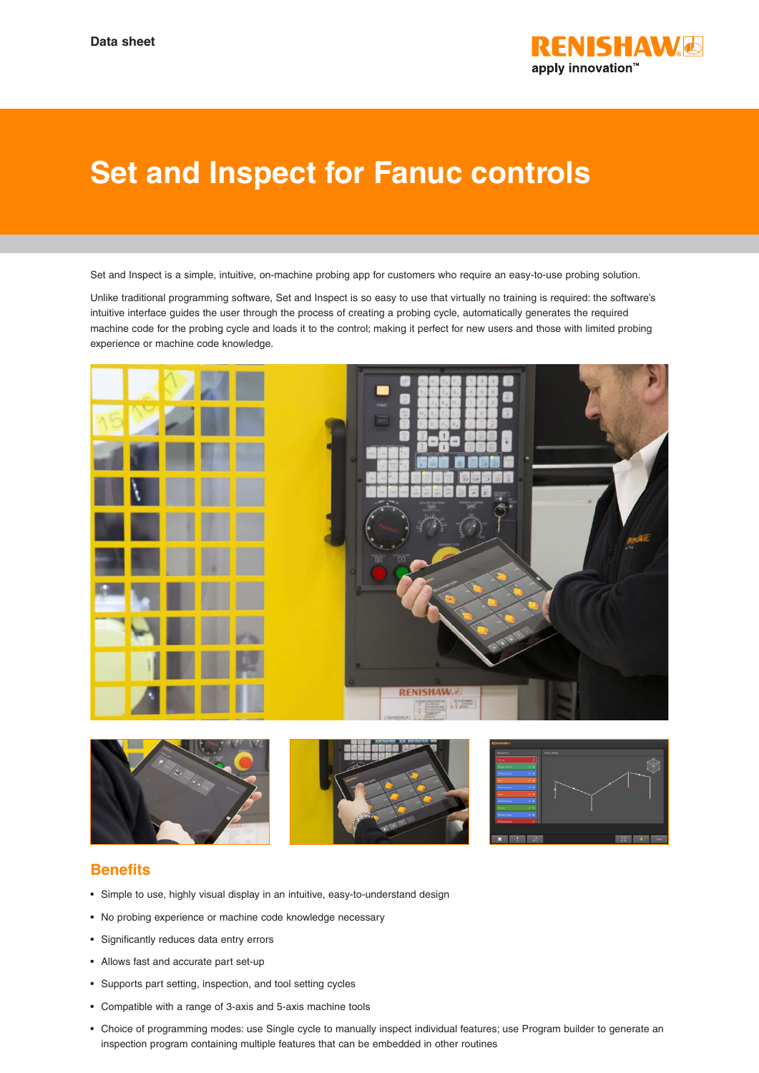

## **Set and Inspect for Fanuc controls**

Set and Inspect is a simple, intuitive, on-machine probing app for customers who require an easy-to-use probing solution.

Unlike traditional programming software, Set and Inspect is so easy to use that virtually no training is required: the software's intuitive interface guides the user through the process of creating a probing cycle, automatically generates the required machine code for the probing cycle and loads it to the control; making it perfect for new users and those with limited probing experience or machine code knowledge.





## **Benefits**

- Simple to use, highly visual display in an intuitive, easy-to-understand design
- No probing experience or machine code knowledge necessary
- Significantly reduces data entry errors
- Allows fast and accurate part set-up
- Supports part setting, inspection, and tool setting cycles
- Compatible with a range of 3-axis and 5-axis machine tools
- Choice of programming modes: use Single cycle to manually inspect individual features; use Program builder to generate an inspection program containing multiple features that can be embedded in other routines